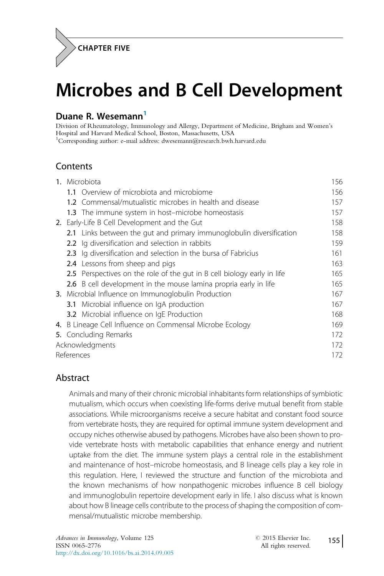# CHAPTER FIVE

# Microbes and B Cell Development

#### Duane R. Wesemann<sup>1</sup>

Division of Rheumatology, Immunology and Allergy, Department of Medicine, Brigham and Women's Hospital and Harvard Medical School, Boston, Massachusetts, USA

1 Corresponding author: e-mail address: dwesemann@research.bwh.harvard.edu

## **Contents**

|                 | 1. Microbiota                                                           | 156 |
|-----------------|-------------------------------------------------------------------------|-----|
|                 | 1.1 Overview of microbiota and microbiome                               | 156 |
|                 | 1.2 Commensal/mutualistic microbes in health and disease                | 157 |
|                 | 1.3 The immune system in host-microbe homeostasis                       | 157 |
|                 | 2. Early-Life B Cell Development and the Gut                            | 158 |
|                 | 2.1 Links between the gut and primary immunoglobulin diversification    | 158 |
|                 | 2.2 Iq diversification and selection in rabbits                         | 159 |
|                 | 2.3 Ig diversification and selection in the bursa of Fabricius          | 161 |
|                 | <b>2.4</b> Lessons from sheep and pigs                                  | 163 |
|                 | 2.5 Perspectives on the role of the gut in B cell biology early in life | 165 |
|                 | <b>2.6</b> B cell development in the mouse lamina propria early in life | 165 |
|                 | <b>3.</b> Microbial Influence on Immunoglobulin Production              | 167 |
|                 | <b>3.1</b> Microbial influence on IgA production                        | 167 |
|                 | <b>3.2</b> Microbial influence on IqE Production                        | 168 |
|                 | 4. B Lineage Cell Influence on Commensal Microbe Ecology                | 169 |
|                 | 5. Concluding Remarks                                                   | 172 |
| Acknowledgments |                                                                         | 172 |
| References      |                                                                         | 172 |

#### Abstract

Animals and many of their chronic microbial inhabitants form relationships of symbiotic mutualism, which occurs when coexisting life-forms derive mutual benefit from stable associations. While microorganisms receive a secure habitat and constant food source from vertebrate hosts, they are required for optimal immune system development and occupy niches otherwise abused by pathogens. Microbes have also been shown to provide vertebrate hosts with metabolic capabilities that enhance energy and nutrient uptake from the diet. The immune system plays a central role in the establishment and maintenance of host–microbe homeostasis, and B lineage cells play a key role in this regulation. Here, I reviewed the structure and function of the microbiota and the known mechanisms of how nonpathogenic microbes influence B cell biology and immunoglobulin repertoire development early in life. I also discuss what is known about how B lineage cells contribute to the process of shaping the composition of commensal/mutualistic microbe membership.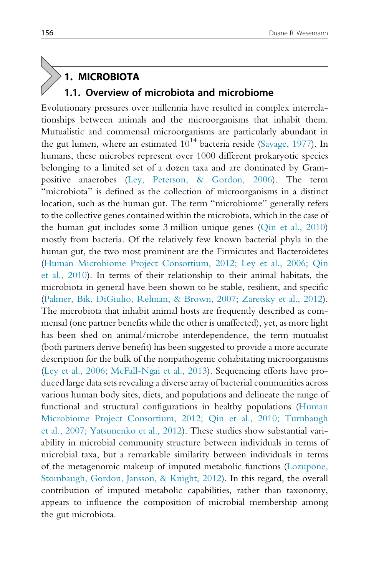# 1. MICROBIOTA

#### 1.1. Overview of microbiota and microbiome

Evolutionary pressures over millennia have resulted in complex interrelationships between animals and the microorganisms that inhabit them. Mutualistic and commensal microorganisms are particularly abundant in the gut lumen, where an estimated  $10^{14}$  bacteria reside [\(Savage, 1977](#page-22-0)). In humans, these microbes represent over 1000 different prokaryotic species belonging to a limited set of a dozen taxa and are dominated by Grampositive anaerobes ([Ley, Peterson, & Gordon, 2006](#page-20-0)). The term "microbiota" is defined as the collection of microorganisms in a distinct location, such as the human gut. The term "microbiome" generally refers to the collective genes contained within the microbiota, which in the case of the human gut includes some 3 million unique genes [\(Qin et al., 2010\)](#page-21-0) mostly from bacteria. Of the relatively few known bacterial phyla in the human gut, the two most prominent are the Firmicutes and Bacteroidetes ([Human Microbiome Project Consortium, 2012; Ley et al., 2006; Qin](#page-19-0) [et al., 2010\)](#page-19-0). In terms of their relationship to their animal habitats, the microbiota in general have been shown to be stable, resilient, and specific ([Palmer, Bik, DiGiulio, Relman, & Brown, 2007; Zaretsky et al., 2012\)](#page-21-0). The microbiota that inhabit animal hosts are frequently described as commensal (one partner benefits while the other is unaffected), yet, as more light has been shed on animal/microbe interdependence, the term mutualist (both partners derive benefit) has been suggested to provide a more accurate description for the bulk of the nonpathogenic cohabitating microorganisms ([Ley et al., 2006; McFall-Ngai et al., 2013\)](#page-20-0). Sequencing efforts have produced large data sets revealing a diverse array of bacterial communities across various human body sites, diets, and populations and delineate the range of functional and structural configurations in healthy populations [\(Human](#page-19-0) [Microbiome Project Consortium, 2012; Qin et al., 2010; Turnbaugh](#page-19-0) [et al., 2007; Yatsunenko et al., 2012\)](#page-19-0). These studies show substantial variability in microbial community structure between individuals in terms of microbial taxa, but a remarkable similarity between individuals in terms of the metagenomic makeup of imputed metabolic functions ([Lozupone,](#page-20-0) [Stombaugh, Gordon, Jansson, & Knight, 2012](#page-20-0)). In this regard, the overall contribution of imputed metabolic capabilities, rather than taxonomy, appears to influence the composition of microbial membership among the gut microbiota.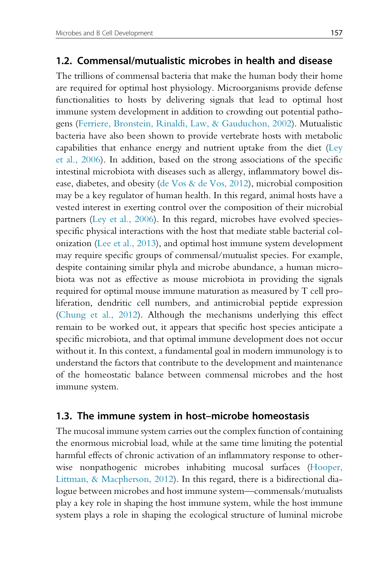#### 1.2. Commensal/mutualistic microbes in health and disease

The trillions of commensal bacteria that make the human body their home are required for optimal host physiology. Microorganisms provide defense functionalities to hosts by delivering signals that lead to optimal host immune system development in addition to crowding out potential pathogens [\(Ferriere, Bronstein, Rinaldi, Law, & Gauduchon, 2002\)](#page-18-0). Mutualistic bacteria have also been shown to provide vertebrate hosts with metabolic capabilities that enhance energy and nutrient uptake from the diet ([Ley](#page-20-0) [et al., 2006\)](#page-20-0). In addition, based on the strong associations of the specific intestinal microbiota with diseases such as allergy, inflammatory bowel disease, diabetes, and obesity ([de Vos & de Vos, 2012](#page-18-0)), microbial composition may be a key regulator of human health. In this regard, animal hosts have a vested interest in exerting control over the composition of their microbial partners ([Ley et al., 2006\)](#page-20-0). In this regard, microbes have evolved speciesspecific physical interactions with the host that mediate stable bacterial colonization [\(Lee et al., 2013](#page-20-0)), and optimal host immune system development may require specific groups of commensal/mutualist species. For example, despite containing similar phyla and microbe abundance, a human microbiota was not as effective as mouse microbiota in providing the signals required for optimal mouse immune maturation as measured by T cell proliferation, dendritic cell numbers, and antimicrobial peptide expression [\(Chung et al., 2012\)](#page-18-0). Although the mechanisms underlying this effect remain to be worked out, it appears that specific host species anticipate a specific microbiota, and that optimal immune development does not occur without it. In this context, a fundamental goal in modern immunology is to understand the factors that contribute to the development and maintenance of the homeostatic balance between commensal microbes and the host immune system.

#### 1.3. The immune system in host–microbe homeostasis

The mucosal immune system carries out the complex function of containing the enormous microbial load, while at the same time limiting the potential harmful effects of chronic activation of an inflammatory response to otherwise nonpathogenic microbes inhabiting mucosal surfaces ([Hooper,](#page-19-0) [Littman, & Macpherson, 2012](#page-19-0)). In this regard, there is a bidirectional dialogue between microbes and host immune system—commensals/mutualists play a key role in shaping the host immune system, while the host immune system plays a role in shaping the ecological structure of luminal microbe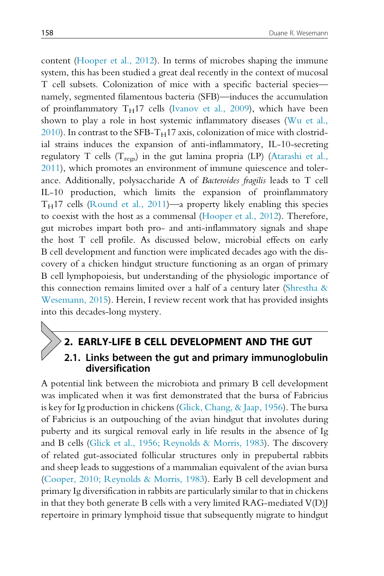content [\(Hooper et al., 2012\)](#page-19-0). In terms of microbes shaping the immune system, this has been studied a great deal recently in the context of mucosal T cell subsets. Colonization of mice with a specific bacterial species namely, segmented filamentous bacteria (SFB)—induces the accumulation of proinflammatory  $T_H17$  cells [\(Ivanov et al., 2009](#page-19-0)), which have been shown to play a role in host systemic inflammatory diseases ([Wu et al.,](#page-23-0)  $2010$ ). In contrast to the SFB-T<sub>H</sub>17 axis, colonization of mice with clostridial strains induces the expansion of anti-inflammatory, IL-10-secreting regulatory T cells  $(T_{res})$  in the gut lamina propria (LP) ([Atarashi et al.,](#page-17-0) [2011\)](#page-17-0), which promotes an environment of immune quiescence and tolerance. Additionally, polysaccharide A of Bacteroides fragilis leads to T cell IL-10 production, which limits the expansion of proinflammatory  $T_H$ 17 cells ([Round et al., 2011](#page-22-0))—a property likely enabling this species to coexist with the host as a commensal [\(Hooper et al., 2012](#page-19-0)). Therefore, gut microbes impart both pro- and anti-inflammatory signals and shape the host T cell profile. As discussed below, microbial effects on early B cell development and function were implicated decades ago with the discovery of a chicken hindgut structure functioning as an organ of primary B cell lymphopoiesis, but understanding of the physiologic importance of this connection remains limited over a half of a century later (Shrestha  $\&$ [Wesemann, 2015\)](#page-22-0). Herein, I review recent work that has provided insights into this decades-long mystery.

#### 2. EARLY-LIFE B CELL DEVELOPMENT AND THE GUT

2.1. Links between the gut and primary immunoglobulin diversification

A potential link between the microbiota and primary B cell development was implicated when it was first demonstrated that the bursa of Fabricius is key for Ig production in chickens [\(Glick, Chang, & Jaap, 1956](#page-18-0)). The bursa of Fabricius is an outpouching of the avian hindgut that involutes during puberty and its surgical removal early in life results in the absence of Ig and B cells ([Glick et al., 1956; Reynolds & Morris, 1983](#page-18-0)). The discovery of related gut-associated follicular structures only in prepubertal rabbits and sheep leads to suggestions of a mammalian equivalent of the avian bursa ([Cooper, 2010; Reynolds & Morris, 1983](#page-18-0)). Early B cell development and primary Ig diversification in rabbits are particularly similar to that in chickens in that they both generate B cells with a very limited  $RAG$ -mediated  $V(D)$ repertoire in primary lymphoid tissue that subsequently migrate to hindgut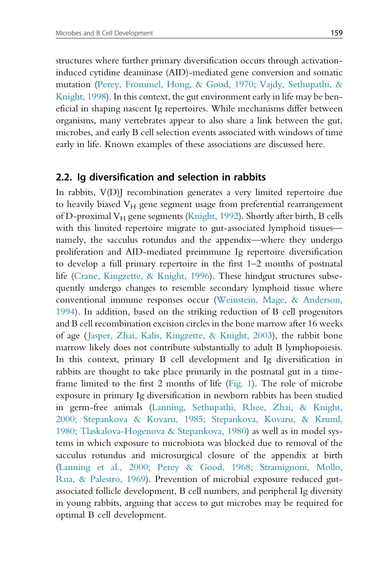structures where further primary diversification occurs through activationinduced cytidine deaminase (AID)-mediated gene conversion and somatic mutation [\(Perey, Frommel, Hong, & Good, 1970; Vajdy, Sethupathi, &](#page-21-0) [Knight, 1998](#page-21-0)). In this context, the gut environment early in life may be beneficial in shaping nascent Ig repertoires. While mechanisms differ between organisms, many vertebrates appear to also share a link between the gut, microbes, and early B cell selection events associated with windows of time early in life. Known examples of these associations are discussed here.

#### 2.2. Ig diversification and selection in rabbits

In rabbits, V(D)J recombination generates a very limited repertoire due to heavily biased  $V_H$  gene segment usage from preferential rearrangement of D-proximal  $V_H$  gene segments [\(Knight, 1992](#page-20-0)). Shortly after birth, B cells with this limited repertoire migrate to gut-associated lymphoid tissues namely, the sacculus rotundus and the appendix—where they undergo proliferation and AID-mediated preimmune Ig repertoire diversification to develop a full primary repertoire in the first 1–2 months of postnatal life [\(Crane, Kingzette, & Knight, 1996\)](#page-18-0). These hindgut structures subsequently undergo changes to resemble secondary lymphoid tissue where conventional immune responses occur ([Weinstein, Mage, & Anderson,](#page-23-0) [1994](#page-23-0)). In addition, based on the striking reduction of B cell progenitors and B cell recombination excision circles in the bone marrow after 16 weeks of age ([Jasper, Zhai, Kalis, Kingzette, & Knight, 2003](#page-19-0)), the rabbit bone marrow likely does not contribute substantially to adult B lymphopoiesis. In this context, primary B cell development and Ig diversification in rabbits are thought to take place primarily in the postnatal gut in a timeframe limited to the first 2 months of life [\(Fig. 1](#page-5-0)). The role of microbe exposure in primary Ig diversification in newborn rabbits has been studied in germ-free animals ([Lanning, Sethupathi, Rhee, Zhai, & Knight,](#page-20-0) [2000; Stepankova & Kovaru, 1985; Stepankova, Kovaru, & Kruml,](#page-20-0) [1980; Tlaskalova-Hogenova & Stepankova, 1980](#page-20-0)) as well as in model systems in which exposure to microbiota was blocked due to removal of the sacculus rotundus and microsurgical closure of the appendix at birth [\(Lanning et al., 2000; Perey & Good, 1968; Stramignoni, Mollo,](#page-20-0) [Rua, & Palestro, 1969\)](#page-20-0). Prevention of microbial exposure reduced gutassociated follicle development, B cell numbers, and peripheral Ig diversity in young rabbits, arguing that access to gut microbes may be required for optimal B cell development.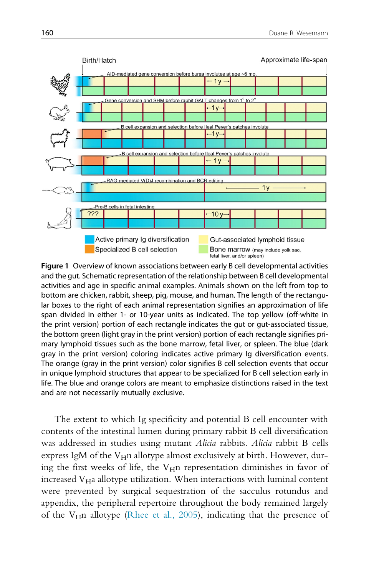<span id="page-5-0"></span>

Figure 1 Overview of known associations between early B cell developmental activities and the gut. Schematic representation of the relationship between B cell developmental activities and age in specific animal examples. Animals shown on the left from top to bottom are chicken, rabbit, sheep, pig, mouse, and human. The length of the rectangular boxes to the right of each animal representation signifies an approximation of life span divided in either 1- or 10-year units as indicated. The top yellow (off-white in the print version) portion of each rectangle indicates the gut or gut-associated tissue, the bottom green (light gray in the print version) portion of each rectangle signifies primary lymphoid tissues such as the bone marrow, fetal liver, or spleen. The blue (dark gray in the print version) coloring indicates active primary Ig diversification events. The orange (gray in the print version) color signifies B cell selection events that occur in unique lymphoid structures that appear to be specialized for B cell selection early in life. The blue and orange colors are meant to emphasize distinctions raised in the text and are not necessarily mutually exclusive.

The extent to which Ig specificity and potential B cell encounter with contents of the intestinal lumen during primary rabbit B cell diversification was addressed in studies using mutant Alicia rabbits. Alicia rabbit B cells express IgM of the  $V_{H}$ n allotype almost exclusively at birth. However, during the first weeks of life, the  $V_H$ n representation diminishes in favor of increased  $V_H$ a allotype utilization. When interactions with luminal content were prevented by surgical sequestration of the sacculus rotundus and appendix, the peripheral repertoire throughout the body remained largely of the  $V_H$ n allotype [\(Rhee et al., 2005](#page-22-0)), indicating that the presence of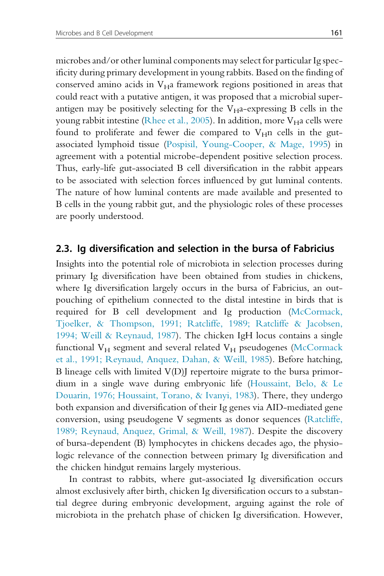microbes and/or other luminal components may select for particular Ig specificity during primary development in young rabbits. Based on the finding of conserved amino acids in  $V_{H}$ a framework regions positioned in areas that could react with a putative antigen, it was proposed that a microbial superantigen may be positively selecting for the  $V_{H}a$ -expressing B cells in the young rabbit intestine [\(Rhee et al., 2005](#page-22-0)). In addition, more  $V_{H}$ a cells were found to proliferate and fewer die compared to  $V_H$ n cells in the gutassociated lymphoid tissue [\(Pospisil, Young-Cooper, & Mage, 1995\)](#page-21-0) in agreement with a potential microbe-dependent positive selection process. Thus, early-life gut-associated B cell diversification in the rabbit appears to be associated with selection forces influenced by gut luminal contents. The nature of how luminal contents are made available and presented to B cells in the young rabbit gut, and the physiologic roles of these processes are poorly understood.

#### 2.3. Ig diversification and selection in the bursa of Fabricius

Insights into the potential role of microbiota in selection processes during primary Ig diversification have been obtained from studies in chickens, where Ig diversification largely occurs in the bursa of Fabricius, an outpouching of epithelium connected to the distal intestine in birds that is required for B cell development and Ig production ([McCormack,](#page-20-0) [Tjoelker, & Thompson, 1991; Ratcliffe, 1989; Ratcliffe & Jacobsen,](#page-20-0) [1994; Weill & Reynaud, 1987\)](#page-20-0). The chicken IgH locus contains a single functional  $V_H$  segment and several related  $V_H$  pseudogenes [\(McCormack](#page-20-0) [et al., 1991; Reynaud, Anquez, Dahan, & Weill, 1985](#page-20-0)). Before hatching, B lineage cells with limited V(D)J repertoire migrate to the bursa primordium in a single wave during embryonic life [\(Houssaint, Belo, & Le](#page-19-0) [Douarin, 1976; Houssaint, Torano, & Ivanyi, 1983\)](#page-19-0). There, they undergo both expansion and diversification of their Ig genes via AID-mediated gene conversion, using pseudogene V segments as donor sequences ([Ratcliffe,](#page-21-0) [1989; Reynaud, Anquez, Grimal, & Weill, 1987\)](#page-21-0). Despite the discovery of bursa-dependent (B) lymphocytes in chickens decades ago, the physiologic relevance of the connection between primary Ig diversification and the chicken hindgut remains largely mysterious.

In contrast to rabbits, where gut-associated Ig diversification occurs almost exclusively after birth, chicken Ig diversification occurs to a substantial degree during embryonic development, arguing against the role of microbiota in the prehatch phase of chicken Ig diversification. However,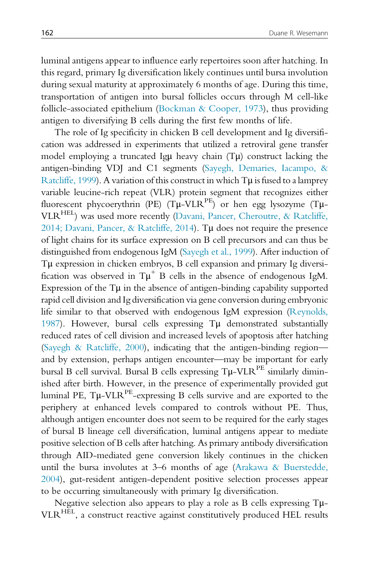luminal antigens appear to influence early repertoires soon after hatching. In this regard, primary Ig diversification likely continues until bursa involution during sexual maturity at approximately 6 months of age. During this time, transportation of antigen into bursal follicles occurs through M cell-like follicle-associated epithelium [\(Bockman & Cooper, 1973\)](#page-18-0), thus providing antigen to diversifying B cells during the first few months of life.

The role of Ig specificity in chicken B cell development and Ig diversification was addressed in experiments that utilized a retroviral gene transfer model employing a truncated Igu heavy chain  $(T\mu)$  construct lacking the antigen-binding VDJ and C1 segments [\(Sayegh, Demaries, Iacampo, &](#page-22-0) [Ratcliffe, 1999](#page-22-0)). A variation of this construct in which  $T\mu$  is fused to a lamprey variable leucine-rich repeat (VLR) protein segment that recognizes either fluorescent phycoerythrin (PE) (T $\mu$ -VLR<sup>PE</sup>) or hen egg lysozyme (T $\mu$ -VLR<sup>HEL</sup>) was used more recently ([Davani, Pancer, Cheroutre, & Ratcliffe,](#page-18-0) [2014; Davani, Pancer, & Ratcliffe, 2014](#page-18-0)). Tμ does not require the presence of light chains for its surface expression on B cell precursors and can thus be distinguished from endogenous IgM [\(Sayegh et al., 1999](#page-22-0)). After induction of Tμ expression in chicken embryos, B cell expansion and primary Ig diversification was observed in  $T\mu^+$  B cells in the absence of endogenous IgM. Expression of the  $T\mu$  in the absence of antigen-binding capability supported rapid cell division and Ig diversification via gene conversion during embryonic life similar to that observed with endogenous IgM expression ([Reynolds,](#page-22-0) [1987](#page-22-0)). However, bursal cells expressing Tμ demonstrated substantially reduced rates of cell division and increased levels of apoptosis after hatching ([Sayegh & Ratcliffe, 2000\)](#page-22-0), indicating that the antigen-binding region and by extension, perhaps antigen encounter—may be important for early bursal B cell survival. Bursal B cells expressing  $T\mu$ -VLR<sup>PE</sup> similarly diminished after birth. However, in the presence of experimentally provided gut luminal PE,  $T\mu$ -VLR<sup>PE</sup>-expressing B cells survive and are exported to the periphery at enhanced levels compared to controls without PE. Thus, although antigen encounter does not seem to be required for the early stages of bursal B lineage cell diversification, luminal antigens appear to mediate positive selection of B cells after hatching. As primary antibody diversification through AID-mediated gene conversion likely continues in the chicken until the bursa involutes at 3–6 months of age ([Arakawa & Buerstedde,](#page-17-0) [2004](#page-17-0)), gut-resident antigen-dependent positive selection processes appear to be occurring simultaneously with primary Ig diversification.

Negative selection also appears to play a role as B cells expressing Tμ-VLR<sup>HEL</sup>, a construct reactive against constitutively produced HEL results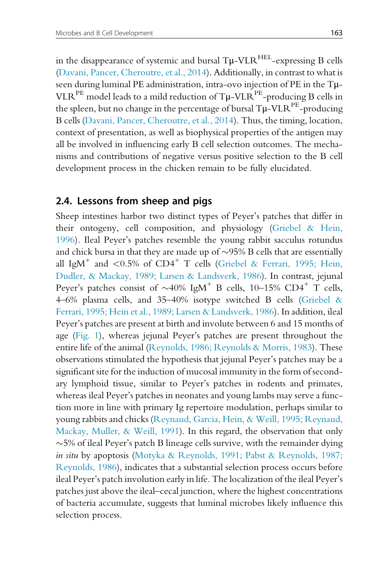in the disappearance of systemic and bursal  $T\mu$ -VLR<sup>HEL</sup>-expressing B cells [\(Davani, Pancer, Cheroutre, et al., 2014](#page-18-0)). Additionally, in contrast to what is seen during luminal PE administration, intra-ovo injection of PE in the Tμ-VLR<sup>PE</sup> model leads to a mild reduction of  $T\mu$ -VLR<sup>PE</sup>-producing B cells in the spleen, but no change in the percentage of bursal  $T\mu$ -VLR<sup>PE</sup>-producing B cells ([Davani, Pancer, Cheroutre, et al., 2014\)](#page-18-0). Thus, the timing, location, context of presentation, as well as biophysical properties of the antigen may all be involved in influencing early B cell selection outcomes. The mechanisms and contributions of negative versus positive selection to the B cell development process in the chicken remain to be fully elucidated.

#### 2.4. Lessons from sheep and pigs

Sheep intestines harbor two distinct types of Peyer's patches that differ in their ontogeny, cell composition, and physiology [\(Griebel & Hein,](#page-19-0) [1996](#page-19-0)). Ileal Peyer's patches resemble the young rabbit sacculus rotundus and chick bursa in that they are made up of  $\sim$ 95% B cells that are essentially all IgM<sup>+</sup> and  $\langle 0.5\%$  of CD4<sup>+</sup> T cells [\(Griebel & Ferrari, 1995; Hein,](#page-19-0) [Dudler, & Mackay, 1989; Larsen & Landsverk, 1986](#page-19-0)). In contrast, jejunal Peyer's patches consist of  $\sim$ 40% IgM<sup>+</sup> B cells, 10–15% CD4<sup>+</sup> T cells, 4–6% plasma cells, and 35–40% isotype switched B cells [\(Griebel &](#page-19-0) [Ferrari, 1995; Hein et al., 1989; Larsen & Landsverk, 1986](#page-19-0)). In addition, ileal Peyer's patches are present at birth and involute between 6 and 15 months of age ([Fig. 1](#page-5-0)), whereas jejunal Peyer's patches are present throughout the entire life of the animal [\(Reynolds, 1986; Reynolds & Morris, 1983\)](#page-21-0). These observations stimulated the hypothesis that jejunal Peyer's patches may be a significant site for the induction of mucosal immunity in the form of secondary lymphoid tissue, similar to Peyer's patches in rodents and primates, whereas ileal Peyer's patches in neonates and young lambs may serve a function more in line with primary Ig repertoire modulation, perhaps similar to young rabbits and chicks ([Reynaud, Garcia, Hein, & Weill, 1995; Reynaud,](#page-21-0) [Mackay, Muller, & Weill, 1991\)](#page-21-0). In this regard, the observation that only  $\sim$ 5% of ileal Peyer's patch B lineage cells survive, with the remainder dying in situ by apoptosis ([Motyka & Reynolds, 1991; Pabst & Reynolds, 1987;](#page-20-0) [Reynolds, 1986](#page-20-0)), indicates that a substantial selection process occurs before ileal Peyer's patch involution early in life. The localization of the ileal Peyer's patches just above the ileal–cecal junction, where the highest concentrations of bacteria accumulate, suggests that luminal microbes likely influence this selection process.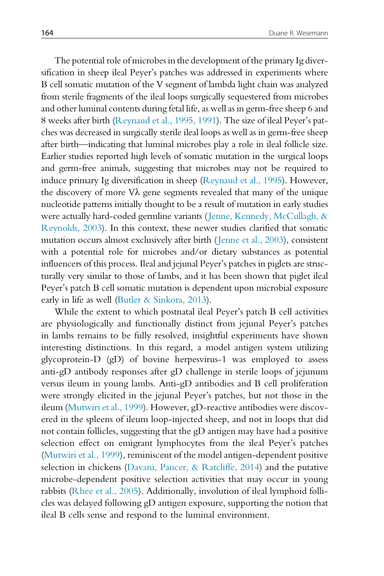The potential role of microbes in the development of the primary Ig diversification in sheep ileal Peyer's patches was addressed in experiments where B cell somatic mutation of the V segment of lambda light chain was analyzed from sterile fragments of the ileal loops surgically sequestered from microbes and other luminal contents during fetal life, as well as in germ-free sheep 6 and 8 weeks after birth [\(Reynaud et al., 1995, 1991](#page-21-0)). The size of ileal Peyer's patches was decreased in surgically sterile ileal loops as well as in germ-free sheep after birth—indicating that luminal microbes play a role in ileal follicle size. Earlier studies reported high levels of somatic mutation in the surgical loops and germ-free animals, suggesting that microbes may not be required to induce primary Ig diversification in sheep [\(Reynaud et al., 1995](#page-21-0)). However, the discovery of more Vλ gene segments revealed that many of the unique nucleotide patterns initially thought to be a result of mutation in early studies were actually hard-coded germline variants ([Jenne, Kennedy, McCullagh, &](#page-19-0) [Reynolds, 2003](#page-19-0)). In this context, these newer studies clarified that somatic mutation occurs almost exclusively after birth ([Jenne et al., 2003\)](#page-19-0), consistent with a potential role for microbes and/or dietary substances as potential influencers of this process. Ileal and jejunal Peyer's patches in piglets are structurally very similar to those of lambs, and it has been shown that piglet ileal Peyer's patch B cell somatic mutation is dependent upon microbial exposure early in life as well [\(Butler & Sinkora, 2013](#page-18-0)).

While the extent to which postnatal ileal Peyer's patch B cell activities are physiologically and functionally distinct from jejunal Peyer's patches in lambs remains to be fully resolved, insightful experiments have shown interesting distinctions. In this regard, a model antigen system utilizing glycoprotein-D (gD) of bovine herpesvirus-1 was employed to assess anti-gD antibody responses after gD challenge in sterile loops of jejunum versus ileum in young lambs. Anti-gD antibodies and B cell proliferation were strongly elicited in the jejunal Peyer's patches, but not those in the ileum [\(Mutwiri et al., 1999\)](#page-21-0). However, gD-reactive antibodies were discovered in the spleens of ileum loop-injected sheep, and not in loops that did not contain follicles, suggesting that the gD antigen may have had a positive selection effect on emigrant lymphocytes from the ileal Peyer's patches ([Mutwiri et al., 1999\)](#page-21-0), reminiscent of the model antigen-dependent positive selection in chickens [\(Davani, Pancer, & Ratcliffe, 2014\)](#page-18-0) and the putative microbe-dependent positive selection activities that may occur in young rabbits ([Rhee et al., 2005\)](#page-22-0). Additionally, involution of ileal lymphoid follicles was delayed following gD antigen exposure, supporting the notion that ileal B cells sense and respond to the luminal environment.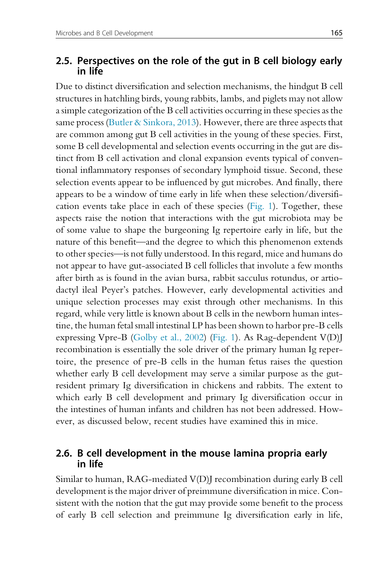#### 2.5. Perspectives on the role of the gut in B cell biology early in life

Due to distinct diversification and selection mechanisms, the hindgut B cell structures in hatchling birds, young rabbits, lambs, and piglets may not allow a simple categorization of the B cell activities occurring in these species as the same process [\(Butler & Sinkora, 2013\)](#page-18-0). However, there are three aspects that are common among gut B cell activities in the young of these species. First, some B cell developmental and selection events occurring in the gut are distinct from B cell activation and clonal expansion events typical of conventional inflammatory responses of secondary lymphoid tissue. Second, these selection events appear to be influenced by gut microbes. And finally, there appears to be a window of time early in life when these selection/diversification events take place in each of these species [\(Fig. 1\)](#page-5-0). Together, these aspects raise the notion that interactions with the gut microbiota may be of some value to shape the burgeoning Ig repertoire early in life, but the nature of this benefit—and the degree to which this phenomenon extends to other species—is not fully understood. In this regard, mice and humans do not appear to have gut-associated B cell follicles that involute a few months after birth as is found in the avian bursa, rabbit sacculus rotundus, or artiodactyl ileal Peyer's patches. However, early developmental activities and unique selection processes may exist through other mechanisms. In this regard, while very little is known about B cells in the newborn human intestine, the human fetal small intestinal LP has been shown to harbor pre-B cells expressing Vpre-B ([Golby et al., 2002](#page-19-0)) [\(Fig. 1\)](#page-5-0). As Rag-dependent V(D)J recombination is essentially the sole driver of the primary human Ig repertoire, the presence of pre-B cells in the human fetus raises the question whether early B cell development may serve a similar purpose as the gutresident primary Ig diversification in chickens and rabbits. The extent to which early B cell development and primary Ig diversification occur in the intestines of human infants and children has not been addressed. However, as discussed below, recent studies have examined this in mice.

#### 2.6. B cell development in the mouse lamina propria early in life

Similar to human, RAG-mediated V(D)J recombination during early B cell development is the major driver of preimmune diversification in mice. Consistent with the notion that the gut may provide some benefit to the process of early B cell selection and preimmune Ig diversification early in life,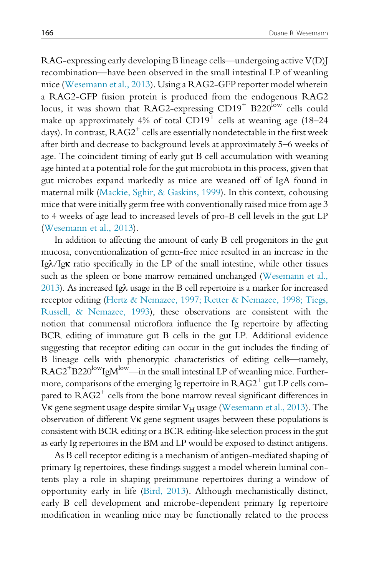RAG-expressing early developing B lineage cells—undergoing active V(D)J recombination—have been observed in the small intestinal LP of weanling mice ([Wesemann et al., 2013](#page-23-0)). Using a RAG2-GFP reporter model wherein a RAG2-GFP fusion protein is produced from the endogenous RAG2 locus, it was shown that RAG2-expressing CD19<sup>+</sup> B220<sup>low</sup> cells could make up approximately 4% of total  $CD19<sup>+</sup>$  cells at weaning age (18–24 days). In contrast,  $RAG2^+$  cells are essentially nondetectable in the first week after birth and decrease to background levels at approximately 5–6 weeks of age. The coincident timing of early gut B cell accumulation with weaning age hinted at a potential role for the gut microbiota in this process, given that gut microbes expand markedly as mice are weaned off of IgA found in maternal milk ([Mackie, Sghir, & Gaskins, 1999](#page-20-0)). In this context, cohousing mice that were initially germ free with conventionally raised mice from age 3 to 4 weeks of age lead to increased levels of pro-B cell levels in the gut LP ([Wesemann et al., 2013\)](#page-23-0).

In addition to affecting the amount of early B cell progenitors in the gut mucosa, conventionalization of germ-free mice resulted in an increase in the Igλ/Igκ ratio specifically in the LP of the small intestine, while other tissues such as the spleen or bone marrow remained unchanged [\(Wesemann et al.,](#page-23-0) [2013](#page-23-0)). As increased Igλ usage in the B cell repertoire is a marker for increased receptor editing [\(Hertz & Nemazee, 1997; Retter & Nemazee, 1998; Tiegs,](#page-19-0) [Russell, & Nemazee, 1993](#page-19-0)), these observations are consistent with the notion that commensal microflora influence the Ig repertoire by affecting BCR editing of immature gut B cells in the gut LP. Additional evidence suggesting that receptor editing can occur in the gut includes the finding of B lineage cells with phenotypic characteristics of editing cells—namely, RAG2<sup>+</sup>B220<sup>low</sup>IgM<sup>low</sup>—in the small intestinal LP of weanling mice. Furthermore, comparisons of the emerging Ig repertoire in  $RAG2<sup>+</sup>$  gut LP cells compared to  $RAG2<sup>+</sup>$  cells from the bone marrow reveal significant differences in VK gene segment usage despite similar  $V_H$  usage [\(Wesemann et al., 2013](#page-23-0)). The observation of different Vκ gene segment usages between these populations is consistent with BCR editing or a BCR editing-like selection process in the gut as early Ig repertoires in the BM and LP would be exposed to distinct antigens.

As B cell receptor editing is a mechanism of antigen-mediated shaping of primary Ig repertoires, these findings suggest a model wherein luminal contents play a role in shaping preimmune repertoires during a window of opportunity early in life [\(Bird, 2013\)](#page-17-0). Although mechanistically distinct, early B cell development and microbe-dependent primary Ig repertoire modification in weanling mice may be functionally related to the process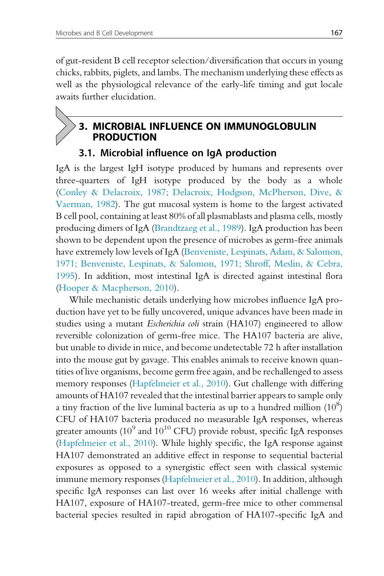of gut-resident B cell receptor selection/diversification that occurs in young chicks, rabbits, piglets, and lambs. The mechanism underlying these effects as well as the physiological relevance of the early-life timing and gut locale awaits further elucidation.

### 3. MICROBIAL INFLUENCE ON IMMUNOGLOBULIN PRODUCTION

#### 3.1. Microbial influence on IgA production

IgA is the largest IgH isotype produced by humans and represents over three-quarters of IgH isotype produced by the body as a whole [\(Conley & Delacroix, 1987; Delacroix, Hodgson, McPherson, Dive, &](#page-18-0) [Vaerman, 1982\)](#page-18-0). The gut mucosal system is home to the largest activated B cell pool, containing at least 80% of all plasmablasts and plasma cells, mostly producing dimers of IgA ([Brandtzaeg et al., 1989](#page-18-0)). IgA production has been shown to be dependent upon the presence of microbes as germ-free animals have extremely low levels of IgA [\(Benveniste, Lespinats, Adam, & Salomon,](#page-17-0) [1971; Benveniste, Lespinats, & Salomon, 1971; Shroff, Meslin, & Cebra,](#page-17-0) [1995](#page-17-0)). In addition, most intestinal IgA is directed against intestinal flora [\(Hooper & Macpherson, 2010\)](#page-19-0).

While mechanistic details underlying how microbes influence IgA production have yet to be fully uncovered, unique advances have been made in studies using a mutant Escherichia coli strain (HA107) engineered to allow reversible colonization of germ-free mice. The HA107 bacteria are alive, but unable to divide in mice, and become undetectable 72 h after installation into the mouse gut by gavage. This enables animals to receive known quantities of live organisms, become germ free again, and be rechallenged to assess memory responses ([Hapfelmeier et al., 2010\)](#page-19-0). Gut challenge with differing amounts of HA107 revealed that the intestinal barrier appears to sample only a tiny fraction of the live luminal bacteria as up to a hundred million  $(10^8)$ CFU of HA107 bacteria produced no measurable IgA responses, whereas greater amounts ( $10^9$  and  $10^{10}$  CFU) provide robust, specific IgA responses [\(Hapfelmeier et al., 2010\)](#page-19-0). While highly specific, the IgA response against HA107 demonstrated an additive effect in response to sequential bacterial exposures as opposed to a synergistic effect seen with classical systemic immune memory responses [\(Hapfelmeier et al., 2010](#page-19-0)). In addition, although specific IgA responses can last over 16 weeks after initial challenge with HA107, exposure of HA107-treated, germ-free mice to other commensal bacterial species resulted in rapid abrogation of HA107-specific IgA and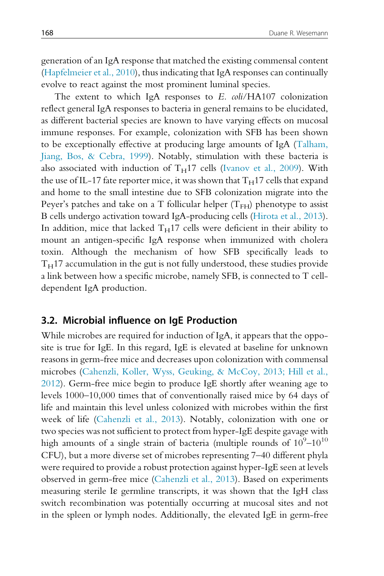generation of an IgA response that matched the existing commensal content ([Hapfelmeier et al., 2010\)](#page-19-0), thus indicating that IgA responses can continually evolve to react against the most prominent luminal species.

The extent to which IgA responses to E. coli/HA107 colonization reflect general IgA responses to bacteria in general remains to be elucidated, as different bacterial species are known to have varying effects on mucosal immune responses. For example, colonization with SFB has been shown to be exceptionally effective at producing large amounts of IgA [\(Talham,](#page-22-0) [Jiang, Bos, & Cebra, 1999\)](#page-22-0). Notably, stimulation with these bacteria is also associated with induction of  $T_H17$  cells ([Ivanov et al., 2009\)](#page-19-0). With the use of IL-17 fate reporter mice, it was shown that  $T_H$ 17 cells that expand and home to the small intestine due to SFB colonization migrate into the Peyer's patches and take on a T follicular helper  $(T<sub>FH</sub>)$  phenotype to assist B cells undergo activation toward IgA-producing cells ([Hirota et al., 2013\)](#page-19-0). In addition, mice that lacked  $T_H17$  cells were deficient in their ability to mount an antigen-specific IgA response when immunized with cholera toxin. Although the mechanism of how SFB specifically leads to  $T_H$ 17 accumulation in the gut is not fully understood, these studies provide a link between how a specific microbe, namely SFB, is connected to T celldependent IgA production.

#### 3.2. Microbial influence on IgE Production

While microbes are required for induction of IgA, it appears that the opposite is true for IgE. In this regard, IgE is elevated at baseline for unknown reasons in germ-free mice and decreases upon colonization with commensal microbes [\(Cahenzli, Koller, Wyss, Geuking, & McCoy, 2013; Hill et al.,](#page-18-0) [2012\)](#page-18-0). Germ-free mice begin to produce IgE shortly after weaning age to levels 1000–10,000 times that of conventionally raised mice by 64 days of life and maintain this level unless colonized with microbes within the first week of life ([Cahenzli et al., 2013\)](#page-18-0). Notably, colonization with one or two species was not sufficient to protect from hyper-IgE despite gavage with high amounts of a single strain of bacteria (multiple rounds of  $10^9$ – $10^{10}$ CFU), but a more diverse set of microbes representing 7–40 different phyla were required to provide a robust protection against hyper-IgE seen at levels observed in germ-free mice ([Cahenzli et al., 2013](#page-18-0)). Based on experiments measuring sterile Iε germline transcripts, it was shown that the IgH class switch recombination was potentially occurring at mucosal sites and not in the spleen or lymph nodes. Additionally, the elevated IgE in germ-free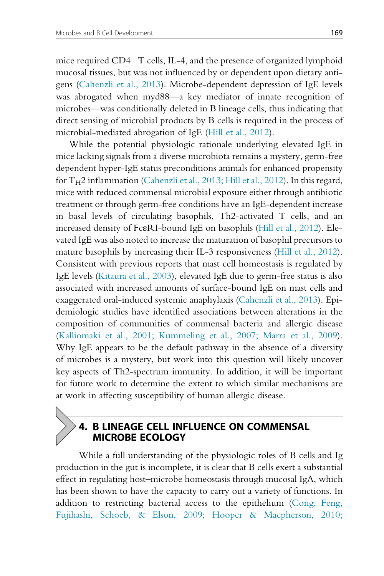mice required  $CD4^+$  T cells, IL-4, and the presence of organized lymphoid mucosal tissues, but was not influenced by or dependent upon dietary antigens ([Cahenzli et al., 2013\)](#page-18-0). Microbe-dependent depression of IgE levels was abrogated when myd88—a key mediator of innate recognition of microbes—was conditionally deleted in B lineage cells, thus indicating that direct sensing of microbial products by B cells is required in the process of microbial-mediated abrogation of IgE ([Hill et al., 2012\)](#page-19-0).

While the potential physiologic rationale underlying elevated IgE in mice lacking signals from a diverse microbiota remains a mystery, germ-free dependent hyper-IgE status preconditions animals for enhanced propensity for  $T_H2$  inflammation ([Cahenzli et al., 2013; Hill et al., 2012\)](#page-18-0). In this regard, mice with reduced commensal microbial exposure either through antibiotic treatment or through germ-free conditions have an IgE-dependent increase in basal levels of circulating basophils, Th2-activated T cells, and an increased density of FcεRI-bound IgE on basophils ([Hill et al., 2012](#page-19-0)). Elevated IgE was also noted to increase the maturation of basophil precursors to mature basophils by increasing their IL-3 responsiveness [\(Hill et al., 2012](#page-19-0)). Consistent with previous reports that mast cell homeostasis is regulated by IgE levels [\(Kitaura et al., 2003\)](#page-20-0), elevated IgE due to germ-free status is also associated with increased amounts of surface-bound IgE on mast cells and exaggerated oral-induced systemic anaphylaxis ([Cahenzli et al., 2013](#page-18-0)). Epidemiologic studies have identified associations between alterations in the composition of communities of commensal bacteria and allergic disease [\(Kalliomaki et al., 2001; Kummeling et al., 2007; Marra et al., 2009](#page-20-0)). Why IgE appears to be the default pathway in the absence of a diversity of microbes is a mystery, but work into this question will likely uncover key aspects of Th2-spectrum immunity. In addition, it will be important for future work to determine the extent to which similar mechanisms are at work in affecting susceptibility of human allergic disease.

#### 4. B LINEAGE CELL INFLUENCE ON COMMENSAL MICROBE ECOLOGY

While a full understanding of the physiologic roles of B cells and Ig production in the gut is incomplete, it is clear that B cells exert a substantial effect in regulating host–microbe homeostasis through mucosal IgA, which has been shown to have the capacity to carry out a variety of functions. In addition to restricting bacterial access to the epithelium [\(Cong, Feng,](#page-18-0) [Fujihashi, Schoeb, & Elson, 2009; Hooper & Macpherson, 2010;](#page-18-0)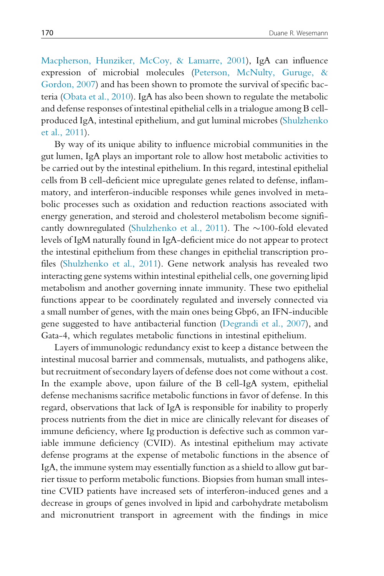[Macpherson, Hunziker, McCoy, & Lamarre, 2001\)](#page-18-0), IgA can influence expression of microbial molecules [\(Peterson, McNulty, Guruge, &](#page-21-0) [Gordon, 2007](#page-21-0)) and has been shown to promote the survival of specific bacteria ([Obata et al., 2010\)](#page-21-0). IgA has also been shown to regulate the metabolic and defense responses of intestinal epithelial cells in a trialogue among B cellproduced IgA, intestinal epithelium, and gut luminal microbes ([Shulzhenko](#page-22-0) [et al., 2011\)](#page-22-0).

By way of its unique ability to influence microbial communities in the gut lumen, IgA plays an important role to allow host metabolic activities to be carried out by the intestinal epithelium. In this regard, intestinal epithelial cells from B cell-deficient mice upregulate genes related to defense, inflammatory, and interferon-inducible responses while genes involved in metabolic processes such as oxidation and reduction reactions associated with energy generation, and steroid and cholesterol metabolism become signifi-cantly downregulated ([Shulzhenko et al., 2011\)](#page-22-0). The  $\sim$ 100-fold elevated levels of IgM naturally found in IgA-deficient mice do not appear to protect the intestinal epithelium from these changes in epithelial transcription profiles ([Shulzhenko et al., 2011\)](#page-22-0). Gene network analysis has revealed two interacting gene systems within intestinal epithelial cells, one governing lipid metabolism and another governing innate immunity. These two epithelial functions appear to be coordinately regulated and inversely connected via a small number of genes, with the main ones being Gbp6, an IFN-inducible gene suggested to have antibacterial function [\(Degrandi et al., 2007\)](#page-18-0), and Gata-4, which regulates metabolic functions in intestinal epithelium.

Layers of immunologic redundancy exist to keep a distance between the intestinal mucosal barrier and commensals, mutualists, and pathogens alike, but recruitment of secondary layers of defense does not come without a cost. In the example above, upon failure of the B cell-IgA system, epithelial defense mechanisms sacrifice metabolic functions in favor of defense. In this regard, observations that lack of IgA is responsible for inability to properly process nutrients from the diet in mice are clinically relevant for diseases of immune deficiency, where Ig production is defective such as common variable immune deficiency (CVID). As intestinal epithelium may activate defense programs at the expense of metabolic functions in the absence of IgA, the immune system may essentially function as a shield to allow gut barrier tissue to perform metabolic functions. Biopsies from human small intestine CVID patients have increased sets of interferon-induced genes and a decrease in groups of genes involved in lipid and carbohydrate metabolism and micronutrient transport in agreement with the findings in mice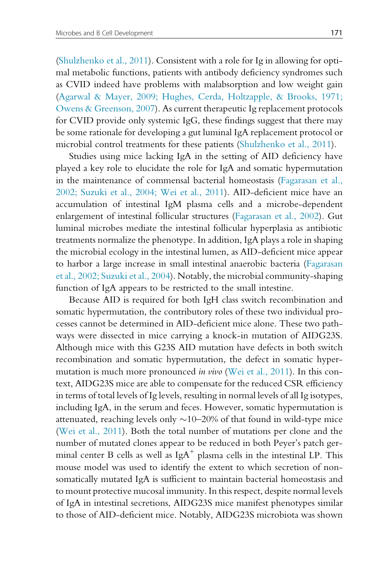[\(Shulzhenko et al., 2011\)](#page-22-0). Consistent with a role for Ig in allowing for optimal metabolic functions, patients with antibody deficiency syndromes such as CVID indeed have problems with malabsorption and low weight gain [\(Agarwal & Mayer, 2009; Hughes, Cerda, Holtzapple, & Brooks, 1971;](#page-17-0) [Owens & Greenson, 2007](#page-17-0)). As current therapeutic Ig replacement protocols for CVID provide only systemic IgG, these findings suggest that there may be some rationale for developing a gut luminal IgA replacement protocol or microbial control treatments for these patients ([Shulzhenko et al., 2011\)](#page-22-0).

Studies using mice lacking IgA in the setting of AID deficiency have played a key role to elucidate the role for IgA and somatic hypermutation in the maintenance of commensal bacterial homeostasis ([Fagarasan et al.,](#page-18-0) [2002; Suzuki et al., 2004; Wei et al., 2011](#page-18-0)). AID-deficient mice have an accumulation of intestinal IgM plasma cells and a microbe-dependent enlargement of intestinal follicular structures [\(Fagarasan et al., 2002\)](#page-18-0). Gut luminal microbes mediate the intestinal follicular hyperplasia as antibiotic treatments normalize the phenotype. In addition, IgA plays a role in shaping the microbial ecology in the intestinal lumen, as AID-deficient mice appear to harbor a large increase in small intestinal anaerobic bacteria ([Fagarasan](#page-18-0) [et al., 2002; Suzuki et al., 2004](#page-18-0)). Notably, the microbial community-shaping function of IgA appears to be restricted to the small intestine.

Because AID is required for both IgH class switch recombination and somatic hypermutation, the contributory roles of these two individual processes cannot be determined in AID-deficient mice alone. These two pathways were dissected in mice carrying a knock-in mutation of AIDG23S. Although mice with this G23S AID mutation have defects in both switch recombination and somatic hypermutation, the defect in somatic hypermutation is much more pronounced *in vivo* [\(Wei et al., 2011\)](#page-23-0). In this context, AIDG23S mice are able to compensate for the reduced CSR efficiency in terms of total levels of Ig levels, resulting in normal levels of all Ig isotypes, including IgA, in the serum and feces. However, somatic hypermutation is attenuated, reaching levels only  $\sim$ 10–20% of that found in wild-type mice [\(Wei et al., 2011](#page-23-0)). Both the total number of mutations per clone and the number of mutated clones appear to be reduced in both Peyer's patch germinal center B cells as well as  $IgA^+$  plasma cells in the intestinal LP. This mouse model was used to identify the extent to which secretion of nonsomatically mutated IgA is sufficient to maintain bacterial homeostasis and to mount protective mucosal immunity. In this respect, despite normal levels of IgA in intestinal secretions, AIDG23S mice manifest phenotypes similar to those of AID-deficient mice. Notably, AIDG23S microbiota was shown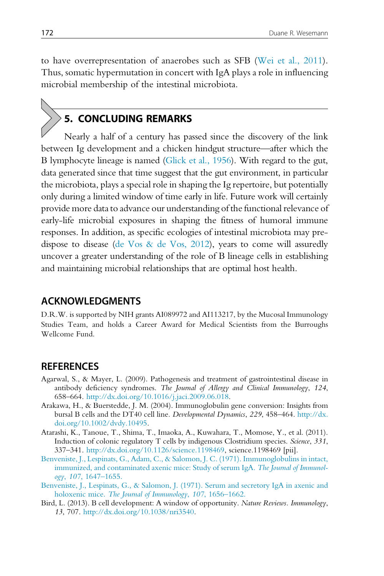<span id="page-17-0"></span>to have overrepresentation of anaerobes such as SFB [\(Wei et al., 2011\)](#page-23-0). Thus, somatic hypermutation in concert with IgA plays a role in influencing microbial membership of the intestinal microbiota.

# 5. CONCLUDING REMARKS

Nearly a half of a century has passed since the discovery of the link between Ig development and a chicken hindgut structure—after which the B lymphocyte lineage is named [\(Glick et al., 1956\)](#page-18-0). With regard to the gut, data generated since that time suggest that the gut environment, in particular the microbiota, plays a special role in shaping the Ig repertoire, but potentially only during a limited window of time early in life. Future work will certainly provide more data to advance our understanding of the functional relevance of early-life microbial exposures in shaping the fitness of humoral immune responses. In addition, as specific ecologies of intestinal microbiota may predispose to disease [\(de Vos & de Vos, 2012](#page-18-0)), years to come will assuredly uncover a greater understanding of the role of B lineage cells in establishing and maintaining microbial relationships that are optimal host health.

#### ACKNOWLEDGMENTS

D.R.W. is supported by NIH grants AI089972 and AI113217, by the Mucosal Immunology Studies Team, and holds a Career Award for Medical Scientists from the Burroughs Wellcome Fund.

#### **REFERENCES**

- Agarwal, S., & Mayer, L. (2009). Pathogenesis and treatment of gastrointestinal disease in antibody deficiency syndromes. The Journal of Allergy and Clinical Immunology, 124, 658–664. <http://dx.doi.org/10.1016/j.jaci.2009.06.018>.
- Arakawa, H., & Buerstedde, J. M. (2004). Immunoglobulin gene conversion: Insights from bursal B cells and the DT40 cell line. Developmental Dynamics, 229, 458–464. [http://dx.](http://dx.doi.org/10.1002/dvdy.10495) [doi.org/10.1002/dvdy.10495.](http://dx.doi.org/10.1002/dvdy.10495)
- Atarashi, K., Tanoue, T., Shima, T., Imaoka, A., Kuwahara, T., Momose, Y., et al. (2011). Induction of colonic regulatory T cells by indigenous Clostridium species. Science, 331, 337–341. [http://dx.doi.org/10.1126/science.1198469,](http://dx.doi.org/10.1126/science.1198469) science.1198469 [pii].
- [Benveniste, J., Lespinats, G., Adam, C., & Salomon, J. C. \(1971\). Immunoglobulins in intact,](http://refhub.elsevier.com/S0065-2776(14)00006-6/rf0020) [immunized, and contaminated axenic mice: Study of serum IgA.](http://refhub.elsevier.com/S0065-2776(14)00006-6/rf0020) The Journal of Immunology, 107[, 1647–1655.](http://refhub.elsevier.com/S0065-2776(14)00006-6/rf0020)
- [Benveniste, J., Lespinats, G., & Salomon, J. \(1971\). Serum and secretory IgA in axenic and](http://refhub.elsevier.com/S0065-2776(14)00006-6/rf0025) holoxenic mice. [The Journal of Immunology](http://refhub.elsevier.com/S0065-2776(14)00006-6/rf0025), 107, 1656–1662.
- Bird, L. (2013). B cell development: A window of opportunity. Nature Reviews. Immunology, 13, 707. <http://dx.doi.org/10.1038/nri3540>.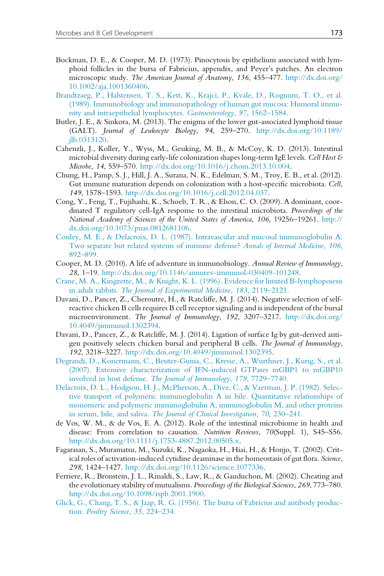- <span id="page-18-0"></span>Bockman, D. E., & Cooper, M. D. (1973). Pinocytosis by epithelium associated with lymphoid follicles in the bursa of Fabricius, appendix, and Peyer's patches. An electron microscopic study. The American Journal of Anatomy, 136, 455–477. [http://dx.doi.org/](http://dx.doi.org/10.1002/aja.1001360406) [10.1002/aja.1001360406](http://dx.doi.org/10.1002/aja.1001360406).
- [Brandtzaeg, P., Halstensen, T. S., Kett, K., Krajci, P., Kvale, D., Rognum, T. O., et al.](http://refhub.elsevier.com/S0065-2776(14)00006-6/rf0040) [\(1989\). Immunobiology and immunopathology of human gut mucosa: Humoral immu](http://refhub.elsevier.com/S0065-2776(14)00006-6/rf0040)[nity and intraepithelial lymphocytes.](http://refhub.elsevier.com/S0065-2776(14)00006-6/rf0040) Gastroenterology, 97, 1562–1584.
- Butler, J. E., & Sinkora, M. (2013). The enigma of the lower gut-associated lymphoid tissue (GALT). Journal of Leukocyte Biology, 94, 259–270. [http://dx.doi.org/10.1189/](http://dx.doi.org/10.1189/jlb.0313120) [jlb.0313120.](http://dx.doi.org/10.1189/jlb.0313120)
- Cahenzli, J., Koller, Y., Wyss, M., Geuking, M. B., & McCoy, K. D. (2013). Intestinal microbial diversity during early-life colonization shapes long-term IgE levels. Cell Host  $\mathcal E$ Microbe, 14, 559–570. <http://dx.doi.org/10.1016/j.chom.2013.10.004>.
- Chung, H., Pamp, S. J., Hill, J. A., Surana, N. K., Edelman, S. M., Troy, E. B., et al. (2012). Gut immune maturation depends on colonization with a host-specific microbiota. Cell, 149, 1578–1593. <http://dx.doi.org/10.1016/j.cell.2012.04.037>.
- Cong, Y., Feng, T., Fujihashi, K., Schoeb, T. R., & Elson, C. O. (2009). A dominant, coordinated T regulatory cell-IgA response to the intestinal microbiota. Proceedings of the National Academy of Sciences of the United States of America, 106, 19256–19261. [http://](http://dx.doi.org/10.1073/pnas.0812681106) [dx.doi.org/10.1073/pnas.0812681106](http://dx.doi.org/10.1073/pnas.0812681106).
- [Conley, M. E., & Delacroix, D. L. \(1987\). Intravascular and mucosal immunoglobulin A:](http://refhub.elsevier.com/S0065-2776(14)00006-6/rf0065) [Two separate but related systems of immune defense?](http://refhub.elsevier.com/S0065-2776(14)00006-6/rf0065) Annals of Internal Medicine, 106, [892–899.](http://refhub.elsevier.com/S0065-2776(14)00006-6/rf0065)
- Cooper, M. D. (2010). A life of adventure in immunobiology. Annual Review of Immunology, 28, 1–19. [http://dx.doi.org/10.1146/annurev-immunol-030409-101248.](http://dx.doi.org/10.1146/annurev-immunol-030409-101248)
- [Crane, M. A., Kingzette, M., & Knight, K. L. \(1996\). Evidence for limited B-lymphopoiesis](http://refhub.elsevier.com/S0065-2776(14)00006-6/rf0075) in adult rabbits. [The Journal of Experimental Medicine](http://refhub.elsevier.com/S0065-2776(14)00006-6/rf0075), 183, 2119–2121.
- Davani, D., Pancer, Z., Cheroutre, H., & Ratcliffe, M. J. (2014). Negative selection of selfreactive chicken B cells requires B cell receptor signaling and is independent of the bursal microenvironment. The Journal of Immunology, 192, 3207–3217. [http://dx.doi.org/](http://dx.doi.org/10.4049/jimmunol.1302394) [10.4049/jimmunol.1302394](http://dx.doi.org/10.4049/jimmunol.1302394).
- Davani, D., Pancer, Z., & Ratcliffe, M. J. (2014). Ligation of surface Ig by gut-derived antigen positively selects chicken bursal and peripheral B cells. The Journal of Immunology, 192, 3218–3227. <http://dx.doi.org/10.4049/jimmunol.1302395>.
- [Degrandi, D., Konermann, C., Beuter-Gunia, C., Kresse, A., Wurthner, J., Kurig, S., et al.](http://refhub.elsevier.com/S0065-2776(14)00006-6/rf0090) [\(2007\). Extensive characterization of IFN-induced GTPases mGBP1 to mGBP10](http://refhub.elsevier.com/S0065-2776(14)00006-6/rf0090) involved in host defense. [The Journal of Immunology](http://refhub.elsevier.com/S0065-2776(14)00006-6/rf0090), 179, 7729–7740.
- [Delacroix, D. L., Hodgson, H. J., McPherson, A., Dive, C., & Vaerman, J. P. \(1982\). Selec](http://refhub.elsevier.com/S0065-2776(14)00006-6/rf0095)[tive transport of polymeric immunoglobulin A in bile. Quantitative relationships of](http://refhub.elsevier.com/S0065-2776(14)00006-6/rf0095) [monomeric and polymeric immunoglobulin A, immunoglobulin M, and other proteins](http://refhub.elsevier.com/S0065-2776(14)00006-6/rf0095) in serum, bile, and saliva. [The Journal of Clinical Investigation](http://refhub.elsevier.com/S0065-2776(14)00006-6/rf0095), 70, 230–241.
- de Vos, W. M., & de Vos, E. A. (2012). Role of the intestinal microbiome in health and disease: From correlation to causation. Nutrition Reviews, 70(Suppl. 1), S45–S56. <http://dx.doi.org/10.1111/j.1753-4887.2012.00505.x>.
- Fagarasan, S., Muramatsu, M., Suzuki, K., Nagaoka, H., Hiai, H., & Honjo, T. (2002). Critical roles of activation-induced cytidine deaminase in the homeostasis of gut flora. Science, 298, 1424–1427. [http://dx.doi.org/10.1126/science.1077336.](http://dx.doi.org/10.1126/science.1077336)
- Ferriere, R., Bronstein, J. L., Rinaldi, S., Law, R., & Gauduchon, M. (2002). Cheating and the evolutionary stability of mutualisms. Proceedings of the Biological Sciences, 269, 773–780. <http://dx.doi.org/10.1098/rspb.2001.1900>.
- [Glick, G., Chang, T. S., & Jaap, R. G. \(1956\). The bursa of Fabricius and antibody produc](http://refhub.elsevier.com/S0065-2776(14)00006-6/rf0115)tion. [Poultry Science](http://refhub.elsevier.com/S0065-2776(14)00006-6/rf0115), 35, 224–234.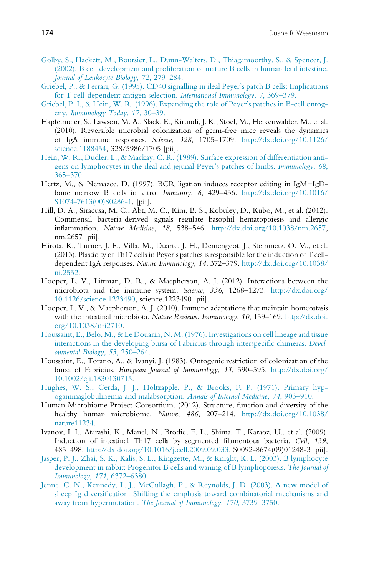- <span id="page-19-0"></span>[Golby, S., Hackett, M., Boursier, L., Dunn-Walters, D., Thiagamoorthy, S., & Spencer, J.](http://refhub.elsevier.com/S0065-2776(14)00006-6/rf0120) [\(2002\). B cell development and proliferation of mature B cells in human fetal intestine.](http://refhub.elsevier.com/S0065-2776(14)00006-6/rf0120) [Journal of Leukocyte Biology](http://refhub.elsevier.com/S0065-2776(14)00006-6/rf0120), 72, 279–284.
- [Griebel, P., & Ferrari, G. \(1995\). CD40 signalling in ileal Peyer's patch B cells: Implications](http://refhub.elsevier.com/S0065-2776(14)00006-6/rf0125) [for T cell-dependent antigen selection.](http://refhub.elsevier.com/S0065-2776(14)00006-6/rf0125) International Immunology, 7, 369–379.
- [Griebel, P. J., & Hein, W. R. \(1996\). Expanding the role of Peyer's patches in B-cell ontog](http://refhub.elsevier.com/S0065-2776(14)00006-6/rf0130)eny. [Immunology Today](http://refhub.elsevier.com/S0065-2776(14)00006-6/rf0130), 17, 30–39.
- Hapfelmeier, S., Lawson, M. A., Slack, E., Kirundi, J. K., Stoel, M., Heikenwalder, M., et al. (2010). Reversible microbial colonization of germ-free mice reveals the dynamics of IgA immune responses. Science, 328, 1705–1709. [http://dx.doi.org/10.1126/](http://dx.doi.org/10.1126/science.1188454) [science.1188454,](http://dx.doi.org/10.1126/science.1188454) 328/5986/1705 [pii].
- [Hein, W. R., Dudler, L., & Mackay, C. R. \(1989\). Surface expression of differentiation anti](http://refhub.elsevier.com/S0065-2776(14)00006-6/rf0140)[gens on lymphocytes in the ileal and jejunal Peyer's patches of lambs.](http://refhub.elsevier.com/S0065-2776(14)00006-6/rf0140) Immunology, 68, [365–370.](http://refhub.elsevier.com/S0065-2776(14)00006-6/rf0140)
- Hertz, M., & Nemazee, D. (1997). BCR ligation induces receptor editing in IgM+IgDbone marrow B cells in vitro. Immunity, 6, 429–436. [http://dx.doi.org/10.1016/](http://dx.doi.org/10.1016/S1074-7613(00)80286-1) [S1074-7613\(00\)80286-1](http://dx.doi.org/10.1016/S1074-7613(00)80286-1), [pii].
- Hill, D. A., Siracusa, M. C., Abt, M. C., Kim, B. S., Kobuley, D., Kubo, M., et al. (2012). Commensal bacteria-derived signals regulate basophil hematopoiesis and allergic inflammation. Nature Medicine, 18, 538–546. [http://dx.doi.org/10.1038/nm.2657,](http://dx.doi.org/10.1038/nm.2657) nm.2657 [pii].
- Hirota, K., Turner, J. E., Villa, M., Duarte, J. H., Demengeot, J., Steinmetz, O. M., et al. (2013). Plasticity of Th17 cells in Peyer's patches is responsible for the induction of T celldependent IgA responses. Nature Immunology, 14, 372–379. [http://dx.doi.org/10.1038/](http://dx.doi.org/10.1038/ni.2552) [ni.2552](http://dx.doi.org/10.1038/ni.2552).
- Hooper, L. V., Littman, D. R., & Macpherson, A. J. (2012). Interactions between the microbiota and the immune system. Science, 336, 1268–1273. [http://dx.doi.org/](http://dx.doi.org/10.1126/science.1223490) [10.1126/science.1223490](http://dx.doi.org/10.1126/science.1223490), science.1223490 [pii].
- Hooper, L. V., & Macpherson, A. J. (2010). Immune adaptations that maintain homeostasis with the intestinal microbiota. Nature Reviews. Immunology, 10, 159–169. [http://dx.doi.](http://dx.doi.org/10.1038/nri2710) [org/10.1038/nri2710.](http://dx.doi.org/10.1038/nri2710)
- [Houssaint, E., Belo, M., & Le Douarin, N. M. \(1976\). Investigations on cell lineage and tissue](http://refhub.elsevier.com/S0065-2776(14)00006-6/rf0170) [interactions in the developing bursa of Fabricius through interspecific chimeras.](http://refhub.elsevier.com/S0065-2776(14)00006-6/rf0170) Devel[opmental Biology](http://refhub.elsevier.com/S0065-2776(14)00006-6/rf0170), 53, 250–264.
- Houssaint, E., Torano, A., & Ivanyi, J. (1983). Ontogenic restriction of colonization of the bursa of Fabricius. European Journal of Immunology, 13, 590–595. [http://dx.doi.org/](http://dx.doi.org/10.1002/eji.1830130715) [10.1002/eji.1830130715.](http://dx.doi.org/10.1002/eji.1830130715)
- [Hughes, W. S., Cerda, J. J., Holtzapple, P., & Brooks, F. P. \(1971\). Primary hyp](http://refhub.elsevier.com/S0065-2776(14)00006-6/rf0180)[ogammaglobulinemia and malabsorption.](http://refhub.elsevier.com/S0065-2776(14)00006-6/rf0180) Annals of Internal Medicine, 74, 903–910.
- Human Microbiome Project Consortium. (2012). Structure, function and diversity of the healthy human microbiome. Nature, 486, 207–214. [http://dx.doi.org/10.1038/](http://dx.doi.org/10.1038/nature11234) [nature11234.](http://dx.doi.org/10.1038/nature11234)
- Ivanov, I. I., Atarashi, K., Manel, N., Brodie, E. L., Shima, T., Karaoz, U., et al. (2009). Induction of intestinal Th17 cells by segmented filamentous bacteria. Cell, 139, 485–498. <http://dx.doi.org/10.1016/j.cell.2009.09.033>. S0092-8674(09)01248-3 [pii].
- [Jasper, P. J., Zhai, S. K., Kalis, S. L., Kingzette, M., & Knight, K. L. \(2003\). B lymphocyte](http://refhub.elsevier.com/S0065-2776(14)00006-6/rf0195) [development in rabbit: Progenitor B cells and waning of B lymphopoiesis.](http://refhub.elsevier.com/S0065-2776(14)00006-6/rf0195) The Journal of Immunology, 171[, 6372–6380.](http://refhub.elsevier.com/S0065-2776(14)00006-6/rf0195)
- [Jenne, C. N., Kennedy, L. J., McCullagh, P., & Reynolds, J. D. \(2003\). A new model of](http://refhub.elsevier.com/S0065-2776(14)00006-6/rf0200) [sheep Ig diversification: Shifting the emphasis toward combinatorial mechanisms and](http://refhub.elsevier.com/S0065-2776(14)00006-6/rf0200) [away from hypermutation.](http://refhub.elsevier.com/S0065-2776(14)00006-6/rf0200) The Journal of Immunology, 170, 3739–3750.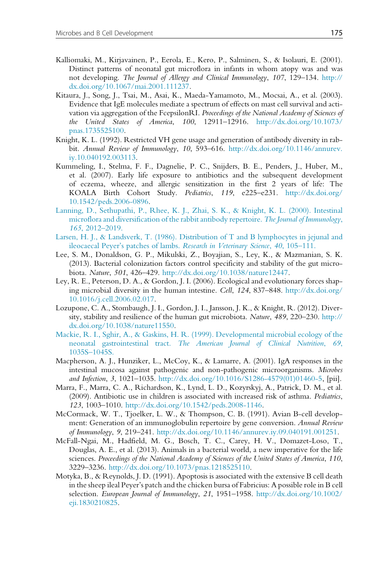- <span id="page-20-0"></span>Kalliomaki, M., Kirjavainen, P., Eerola, E., Kero, P., Salminen, S., & Isolauri, E. (2001). Distinct patterns of neonatal gut microflora in infants in whom atopy was and was not developing. The Journal of Allergy and Clinical Immunology, 107, 129–134. [http://](http://dx.doi.org/10.1067/mai.2001.111237) [dx.doi.org/10.1067/mai.2001.111237.](http://dx.doi.org/10.1067/mai.2001.111237)
- Kitaura, J., Song, J., Tsai, M., Asai, K., Maeda-Yamamoto, M., Mocsai, A., et al. (2003). Evidence that IgE molecules mediate a spectrum of effects on mast cell survival and activation via aggregation of the FcepsilonRI. Proceedings of the National Academy of Sciences of the United States of America, 100, 12911–12916. [http://dx.doi.org/10.1073/](http://dx.doi.org/10.1073/pnas.1735525100) [pnas.1735525100](http://dx.doi.org/10.1073/pnas.1735525100).
- Knight, K. L. (1992). Restricted VH gene usage and generation of antibody diversity in rabbit. Annual Review of Immunology, 10, 593–616. [http://dx.doi.org/10.1146/annurev.](http://dx.doi.org/10.1146/annurev.iy.10.040192.003113) [iy.10.040192.003113.](http://dx.doi.org/10.1146/annurev.iy.10.040192.003113)
- Kummeling, I., Stelma, F. F., Dagnelie, P. C., Snijders, B. E., Penders, J., Huber, M., et al. (2007). Early life exposure to antibiotics and the subsequent development of eczema, wheeze, and allergic sensitization in the first 2 years of life: The KOALA Birth Cohort Study. Pediatrics, 119, e225–e231. [http://dx.doi.org/](http://dx.doi.org/10.1542/peds.2006-0896) [10.1542/peds.2006-0896](http://dx.doi.org/10.1542/peds.2006-0896).
- [Lanning, D., Sethupathi, P., Rhee, K. J., Zhai, S. K., & Knight, K. L. \(2000\). Intestinal](http://refhub.elsevier.com/S0065-2776(14)00006-6/rf0225) [microflora and diversification of the rabbit antibody repertoire.](http://refhub.elsevier.com/S0065-2776(14)00006-6/rf0225) The Journal of Immunology, 165[, 2012–2019.](http://refhub.elsevier.com/S0065-2776(14)00006-6/rf0225)
- [Larsen, H. J., & Landsverk, T. \(1986\). Distribution of T and B lymphocytes in jejunal and](http://refhub.elsevier.com/S0065-2776(14)00006-6/rf0230) [ileocaecal Peyer's patches of lambs.](http://refhub.elsevier.com/S0065-2776(14)00006-6/rf0230) Research in Veterinary Science, 40, 105–111.
- Lee, S. M., Donaldson, G. P., Mikulski, Z., Boyajian, S., Ley, K., & Mazmanian, S. K. (2013). Bacterial colonization factors control specificity and stability of the gut microbiota. Nature, 501, 426–429. <http://dx.doi.org/10.1038/nature12447>.
- Ley, R. E., Peterson, D. A., & Gordon, J. I. (2006). Ecological and evolutionary forces shaping microbial diversity in the human intestine. Cell, 124, 837–848. [http://dx.doi.org/](http://dx.doi.org/10.1016/j.cell.2006.02.017) [10.1016/j.cell.2006.02.017.](http://dx.doi.org/10.1016/j.cell.2006.02.017)
- Lozupone, C. A., Stombaugh, J. I., Gordon, J. I., Jansson, J. K., & Knight, R. (2012). Diversity, stability and resilience of the human gut microbiota. Nature, 489, 220–230. [http://](http://dx.doi.org/10.1038/nature11550) [dx.doi.org/10.1038/nature11550.](http://dx.doi.org/10.1038/nature11550)
- [Mackie, R. I., Sghir, A., & Gaskins, H. R. \(1999\). Developmental microbial ecology of the](http://refhub.elsevier.com/S0065-2776(14)00006-6/rf0250) neonatal gastrointestinal tract. [The American Journal of Clinical Nutrition](http://refhub.elsevier.com/S0065-2776(14)00006-6/rf0250), 69, [1035S–1045S.](http://refhub.elsevier.com/S0065-2776(14)00006-6/rf0250)
- Macpherson, A. J., Hunziker, L., McCoy, K., & Lamarre, A. (2001). IgA responses in the intestinal mucosa against pathogenic and non-pathogenic microorganisms. Microbes and Infection, 3, 1021–1035. [http://dx.doi.org/10.1016/S1286-4579\(01\)01460-5,](http://dx.doi.org/10.1016/S1286-4579(01)01460-5) [pii].
- Marra, F., Marra, C. A., Richardson, K., Lynd, L. D., Kozyrskyj, A., Patrick, D. M., et al. (2009). Antibiotic use in children is associated with increased risk of asthma. Pediatrics, 123, 1003–1010. [http://dx.doi.org/10.1542/peds.2008-1146.](http://dx.doi.org/10.1542/peds.2008-1146)
- McCormack, W. T., Tjoelker, L. W., & Thompson, C. B. (1991). Avian B-cell development: Generation of an immunoglobulin repertoire by gene conversion. Annual Review of Immunology, 9, 219–241. [http://dx.doi.org/10.1146/annurev.iy.09.040191.001251.](http://dx.doi.org/10.1146/annurev.iy.09.040191.001251)
- McFall-Ngai, M., Hadfield, M. G., Bosch, T. C., Carey, H. V., Domazet-Loso, T., Douglas, A. E., et al. (2013). Animals in a bacterial world, a new imperative for the life sciences. Proceedings of the National Academy of Sciences of the United States of America, 110, 3229–3236. <http://dx.doi.org/10.1073/pnas.1218525110>.
- Motyka, B., & Reynolds, J. D. (1991). Apoptosis is associated with the extensive B cell death in the sheep ileal Peyer's patch and the chicken bursa of Fabricius: A possible role in B cell selection. European Journal of Immunology, 21, 1951–1958. [http://dx.doi.org/10.1002/](http://dx.doi.org/10.1002/eji.1830210825) [eji.1830210825](http://dx.doi.org/10.1002/eji.1830210825).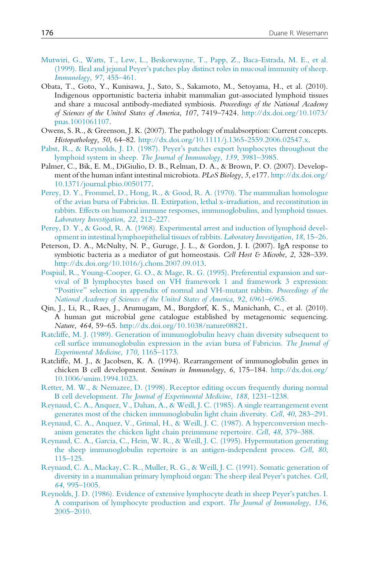- <span id="page-21-0"></span>[Mutwiri, G., Watts, T., Lew, L., Beskorwayne, T., Papp, Z., Baca-Estrada, M. E., et al.](http://refhub.elsevier.com/S0065-2776(14)00006-6/rf0280) [\(1999\). Ileal and jejunal Peyer's patches play distinct roles in mucosal immunity of sheep.](http://refhub.elsevier.com/S0065-2776(14)00006-6/rf0280) [Immunology](http://refhub.elsevier.com/S0065-2776(14)00006-6/rf0280), 97, 455–461.
- Obata, T., Goto, Y., Kunisawa, J., Sato, S., Sakamoto, M., Setoyama, H., et al. (2010). Indigenous opportunistic bacteria inhabit mammalian gut-associated lymphoid tissues and share a mucosal antibody-mediated symbiosis. Proceedings of the National Academy of Sciences of the United States of America, 107, 7419–7424. [http://dx.doi.org/10.1073/](http://dx.doi.org/10.1073/pnas.1001061107) [pnas.1001061107.](http://dx.doi.org/10.1073/pnas.1001061107)
- Owens, S. R., & Greenson, J. K. (2007). The pathology of malabsorption: Current concepts. Histopathology, 50, 64–82. [http://dx.doi.org/10.1111/j.1365-2559.2006.02547.x.](http://dx.doi.org/10.1111/j.1365-2559.2006.02547.x)
- [Pabst, R., & Reynolds, J. D. \(1987\). Peyer's patches export lymphocytes throughout the](http://refhub.elsevier.com/S0065-2776(14)00006-6/rf0295) [lymphoid system in sheep.](http://refhub.elsevier.com/S0065-2776(14)00006-6/rf0295) The Journal of Immunology, 139, 3981–3985.
- Palmer, C., Bik, E. M., DiGiulio, D. B., Relman, D. A., & Brown, P. O. (2007). Development of the human infant intestinal microbiota. PLoS Biology, 5, e177. [http://dx.doi.org/](http://dx.doi.org/10.1371/journal.pbio.0050177) [10.1371/journal.pbio.0050177](http://dx.doi.org/10.1371/journal.pbio.0050177).
- [Perey, D. Y., Frommel, D., Hong, R., & Good, R. A. \(1970\). The mammalian homologue](http://refhub.elsevier.com/S0065-2776(14)00006-6/rf0305) [of the avian bursa of Fabricius. II. Extirpation, lethal x-irradiation, and reconstitution in](http://refhub.elsevier.com/S0065-2776(14)00006-6/rf0305) [rabbits. Effects on humoral immune responses, immunoglobulins, and lymphoid tissues.](http://refhub.elsevier.com/S0065-2776(14)00006-6/rf0305) [Laboratory Investigation](http://refhub.elsevier.com/S0065-2776(14)00006-6/rf0305), 22, 212–227.
- [Perey, D. Y., & Good, R. A. \(1968\). Experimental arrest and induction of lymphoid devel](http://refhub.elsevier.com/S0065-2776(14)00006-6/rf0310)[opment in intestinal lymphoepithelial tissues of rabbits.](http://refhub.elsevier.com/S0065-2776(14)00006-6/rf0310) Laboratory Investigation, 18, 15–26.
- Peterson, D. A., McNulty, N. P., Guruge, J. L., & Gordon, J. I. (2007). IgA response to symbiotic bacteria as a mediator of gut homeostasis. Cell Host & Microbe, 2, 328–339. [http://dx.doi.org/10.1016/j.chom.2007.09.013.](http://dx.doi.org/10.1016/j.chom.2007.09.013)
- [Pospisil, R., Young-Cooper, G. O., & Mage, R. G. \(1995\). Preferential expansion and sur](http://refhub.elsevier.com/S0065-2776(14)00006-6/rf0320)[vival of B lymphocytes based on VH framework 1 and framework 3 expression:](http://refhub.elsevier.com/S0065-2776(14)00006-6/rf0320) ["Positive" selection in appendix of normal and VH-mutant rabbits.](http://refhub.elsevier.com/S0065-2776(14)00006-6/rf0320) Proceedings of the [National Academy of Sciences of the United States of America](http://refhub.elsevier.com/S0065-2776(14)00006-6/rf0320), 92, 6961–6965.
- Qin, J., Li, R., Raes, J., Arumugam, M., Burgdorf, K. S., Manichanh, C., et al. (2010). A human gut microbial gene catalogue established by metagenomic sequencing. Nature, 464, 59–65. <http://dx.doi.org/10.1038/nature08821>.
- [Ratcliffe, M. J. \(1989\). Generation of immunoglobulin heavy chain diversity subsequent to](http://refhub.elsevier.com/S0065-2776(14)00006-6/rf0330) [cell surface immunoglobulin expression in the avian bursa of Fabricius.](http://refhub.elsevier.com/S0065-2776(14)00006-6/rf0330) The Journal of [Experimental Medicine](http://refhub.elsevier.com/S0065-2776(14)00006-6/rf0330), 170, 1165–1173.
- Ratcliffe, M. J., & Jacobsen, K. A. (1994). Rearrangement of immunoglobulin genes in chicken B cell development. Seminars in Immunology, 6, 175–184. [http://dx.doi.org/](http://dx.doi.org/10.1006/smim.1994.1023) [10.1006/smim.1994.1023](http://dx.doi.org/10.1006/smim.1994.1023).
- [Retter, M. W., & Nemazee, D. \(1998\). Receptor editing occurs frequently during normal](http://refhub.elsevier.com/S0065-2776(14)00006-6/rf0340) B cell development. [The Journal of Experimental Medicine](http://refhub.elsevier.com/S0065-2776(14)00006-6/rf0340), 188, 1231–1238.
- [Reynaud, C. A., Anquez, V., Dahan, A., & Weill, J. C. \(1985\). A single rearrangement event](http://refhub.elsevier.com/S0065-2776(14)00006-6/rf0345) [generates most of the chicken immunoglobulin light chain diversity.](http://refhub.elsevier.com/S0065-2776(14)00006-6/rf0345) Cell, 40, 283–291.
- [Reynaud, C. A., Anquez, V., Grimal, H., & Weill, J. C. \(1987\). A hyperconversion mech](http://refhub.elsevier.com/S0065-2776(14)00006-6/rf0350)[anism generates the chicken light chain preimmune repertoire.](http://refhub.elsevier.com/S0065-2776(14)00006-6/rf0350) Cell, 48, 379–388.
- [Reynaud, C. A., Garcia, C., Hein, W. R., & Weill, J. C. \(1995\). Hypermutation generating](http://refhub.elsevier.com/S0065-2776(14)00006-6/rf0355) [the sheep immunoglobulin repertoire is an antigen-independent process.](http://refhub.elsevier.com/S0065-2776(14)00006-6/rf0355) Cell, 80, [115–125.](http://refhub.elsevier.com/S0065-2776(14)00006-6/rf0355)
- [Reynaud, C. A., Mackay, C. R., Muller, R. G., & Weill, J. C. \(1991\). Somatic generation of](http://refhub.elsevier.com/S0065-2776(14)00006-6/rf0360) [diversity in a mammalian primary lymphoid organ: The sheep ileal Peyer's patches.](http://refhub.elsevier.com/S0065-2776(14)00006-6/rf0360) Cell, 64[, 995–1005.](http://refhub.elsevier.com/S0065-2776(14)00006-6/rf0360)
- [Reynolds, J. D. \(1986\). Evidence of extensive lymphocyte death in sheep Peyer's patches. I.](http://refhub.elsevier.com/S0065-2776(14)00006-6/rf0365) [A comparison of lymphocyte production and export.](http://refhub.elsevier.com/S0065-2776(14)00006-6/rf0365) The Journal of Immunology, 136, [2005–2010.](http://refhub.elsevier.com/S0065-2776(14)00006-6/rf0365)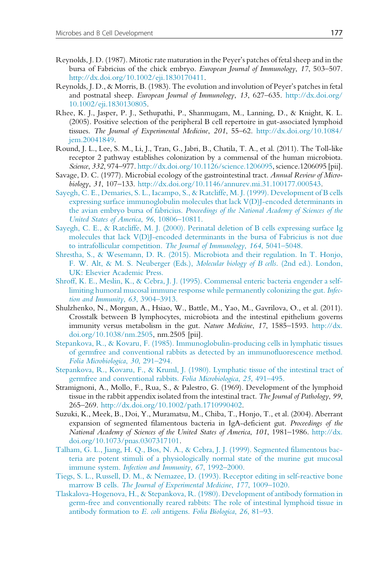- <span id="page-22-0"></span>Reynolds, J. D. (1987). Mitotic rate maturation in the Peyer's patches of fetal sheep and in the bursa of Fabricius of the chick embryo. European Journal of Immunology, 17, 503–507. [http://dx.doi.org/10.1002/eji.1830170411.](http://dx.doi.org/10.1002/eji.1830170411)
- Reynolds, J. D., & Morris, B. (1983). The evolution and involution of Peyer's patches in fetal and postnatal sheep. European Journal of Immunology, 13, 627–635. [http://dx.doi.org/](http://dx.doi.org/10.1002/eji.1830130805) [10.1002/eji.1830130805](http://dx.doi.org/10.1002/eji.1830130805).
- Rhee, K. J., Jasper, P. J., Sethupathi, P., Shanmugam, M., Lanning, D., & Knight, K. L. (2005). Positive selection of the peripheral B cell repertoire in gut-associated lymphoid tissues. The Journal of Experimental Medicine, 201, 55–62. [http://dx.doi.org/10.1084/](http://dx.doi.org/10.1084/jem.20041849) [jem.20041849](http://dx.doi.org/10.1084/jem.20041849).
- Round, J. L., Lee, S. M., Li, J., Tran, G., Jabri, B., Chatila, T. A., et al. (2011). The Toll-like receptor 2 pathway establishes colonization by a commensal of the human microbiota. Science, 332, 974–977. [http://dx.doi.org/10.1126/science.1206095,](http://dx.doi.org/10.1126/science.1206095) science.1206095 [pii].
- Savage, D. C. (1977). Microbial ecology of the gastrointestinal tract. Annual Review of Microbiology, 31, 107–133. <http://dx.doi.org/10.1146/annurev.mi.31.100177.000543>.
- [Sayegh, C. E., Demaries, S. L., Iacampo, S., & Ratcliffe, M. J. \(1999\). Development of B cells](http://refhub.elsevier.com/S0065-2776(14)00006-6/rf0395) [expressing surface immunoglobulin molecules that lack V\(D\)J-encoded determinants in](http://refhub.elsevier.com/S0065-2776(14)00006-6/rf0395) the avian embryo bursa of fabricius. [Proceedings of the National Academy of Sciences of the](http://refhub.elsevier.com/S0065-2776(14)00006-6/rf0395) [United States of America](http://refhub.elsevier.com/S0065-2776(14)00006-6/rf0395), 96, 10806–10811.
- [Sayegh, C. E., & Ratcliffe, M. J. \(2000\). Perinatal deletion of B cells expressing surface Ig](http://refhub.elsevier.com/S0065-2776(14)00006-6/rf0400) [molecules that lack V\(D\)J-encoded determinants in the bursa of Fabricius is not due](http://refhub.elsevier.com/S0065-2776(14)00006-6/rf0400) [to intrafollicular competition.](http://refhub.elsevier.com/S0065-2776(14)00006-6/rf0400) The Journal of Immunology, 164, 5041–5048.
- [Shrestha, S., & Wesemann, D. R. \(2015\). Microbiota and their regulation. In T. Honjo,](http://refhub.elsevier.com/S0065-2776(14)00006-6/rf0405) [F. W. Alt, & M. S. Neuberger \(Eds.\),](http://refhub.elsevier.com/S0065-2776(14)00006-6/rf0405) Molecular biology of B cells. (2nd ed.). London, [UK: Elsevier Academic Press.](http://refhub.elsevier.com/S0065-2776(14)00006-6/rf0405)
- [Shroff, K. E., Meslin, K., & Cebra, J. J. \(1995\). Commensal enteric bacteria engender a self](http://refhub.elsevier.com/S0065-2776(14)00006-6/rf0410)[limiting humoral mucosal immune response while permanently colonizing the gut.](http://refhub.elsevier.com/S0065-2776(14)00006-6/rf0410) Infec[tion and Immunity](http://refhub.elsevier.com/S0065-2776(14)00006-6/rf0410), 63, 3904–3913.
- Shulzhenko, N., Morgun, A., Hsiao, W., Battle, M., Yao, M., Gavrilova, O., et al. (2011). Crosstalk between B lymphocytes, microbiota and the intestinal epithelium governs immunity versus metabolism in the gut. Nature Medicine, 17, 1585–1593. [http://dx.](http://dx.doi.org/10.1038/nm.2505) [doi.org/10.1038/nm.2505,](http://dx.doi.org/10.1038/nm.2505) nm.2505 [pii].
- [Stepankova, R., & Kovaru, F. \(1985\). Immunoglobulin-producing cells in lymphatic tissues](http://refhub.elsevier.com/S0065-2776(14)00006-6/rf0420) [of germfree and conventional rabbits as detected by an immunofluorescence method.](http://refhub.elsevier.com/S0065-2776(14)00006-6/rf0420) [Folia Microbiologica](http://refhub.elsevier.com/S0065-2776(14)00006-6/rf0420), 30, 291–294.
- [Stepankova, R., Kovaru, F., & Kruml, J. \(1980\). Lymphatic tissue of the intestinal tract of](http://refhub.elsevier.com/S0065-2776(14)00006-6/rf0425) [germfree and conventional rabbits.](http://refhub.elsevier.com/S0065-2776(14)00006-6/rf0425) Folia Microbiologica, 25, 491–495.
- Stramignoni, A., Mollo, F., Rua, S., & Palestro, G. (1969). Development of the lymphoid tissue in the rabbit appendix isolated from the intestinal tract. The Journal of Pathology, 99, 265–269. <http://dx.doi.org/10.1002/path.1710990402>.
- Suzuki, K., Meek, B., Doi, Y., Muramatsu, M., Chiba, T., Honjo, T., et al. (2004). Aberrant expansion of segmented filamentous bacteria in IgA-deficient gut. Proceedings of the National Academy of Sciences of the United States of America, 101, 1981–1986. [http://dx.](http://dx.doi.org/10.1073/pnas.0307317101) [doi.org/10.1073/pnas.0307317101.](http://dx.doi.org/10.1073/pnas.0307317101)
- [Talham, G. L., Jiang, H. Q., Bos, N. A., & Cebra, J. J. \(1999\). Segmented filamentous bac](http://refhub.elsevier.com/S0065-2776(14)00006-6/rf0440)[teria are potent stimuli of a physiologically normal state of the murine gut mucosal](http://refhub.elsevier.com/S0065-2776(14)00006-6/rf0440) immune system. [Infection and Immunity](http://refhub.elsevier.com/S0065-2776(14)00006-6/rf0440), 67, 1992-2000.
- [Tiegs, S. L., Russell, D. M., & Nemazee, D. \(1993\). Receptor editing in self-reactive bone](http://refhub.elsevier.com/S0065-2776(14)00006-6/rf0445) marrow B cells. [The Journal of Experimental Medicine](http://refhub.elsevier.com/S0065-2776(14)00006-6/rf0445), 177, 1009–1020.
- [Tlaskalova-Hogenova, H., & Stepankova, R. \(1980\). Development of antibody formation in](http://refhub.elsevier.com/S0065-2776(14)00006-6/rf0450) [germ-free and conventionally reared rabbits: The role of intestinal lymphoid tissue in](http://refhub.elsevier.com/S0065-2776(14)00006-6/rf0450) [antibody formation to](http://refhub.elsevier.com/S0065-2776(14)00006-6/rf0450) E. coli antigens. Folia Biologica, 26, 81–93.